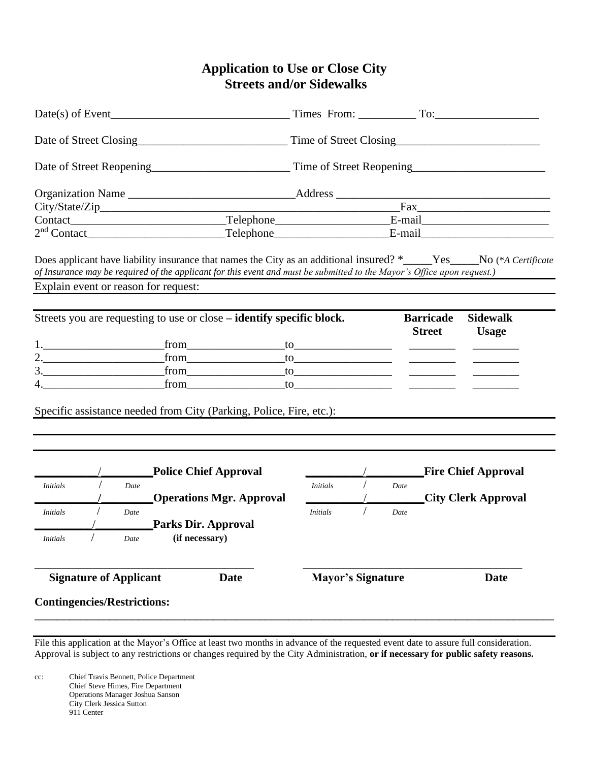### **Application to Use or Close City Streets and/or Sidewalks**

|                                              | $Date(s)$ of Event                                                                                                                                                                                                                                                                                                |                 |                          |      |                                   | Times From: To: To:                                                                                                                                                                                                                  |  |  |
|----------------------------------------------|-------------------------------------------------------------------------------------------------------------------------------------------------------------------------------------------------------------------------------------------------------------------------------------------------------------------|-----------------|--------------------------|------|-----------------------------------|--------------------------------------------------------------------------------------------------------------------------------------------------------------------------------------------------------------------------------------|--|--|
|                                              |                                                                                                                                                                                                                                                                                                                   |                 |                          |      |                                   |                                                                                                                                                                                                                                      |  |  |
|                                              |                                                                                                                                                                                                                                                                                                                   |                 |                          |      |                                   |                                                                                                                                                                                                                                      |  |  |
|                                              |                                                                                                                                                                                                                                                                                                                   |                 |                          |      |                                   |                                                                                                                                                                                                                                      |  |  |
|                                              |                                                                                                                                                                                                                                                                                                                   |                 |                          |      |                                   | <u> Fax Fax Proposed by Fax Proposed by Fax Proposed by Fax Proposed by Fax Proposed by Fax Proposed by Fax Proposed by Fax Proposed by Fax Proposed by Fax Proposed by Fax Proposed by Fax Proposed by Fax Proposed by Fax Prop</u> |  |  |
|                                              |                                                                                                                                                                                                                                                                                                                   |                 |                          |      |                                   |                                                                                                                                                                                                                                      |  |  |
|                                              |                                                                                                                                                                                                                                                                                                                   |                 |                          |      |                                   |                                                                                                                                                                                                                                      |  |  |
|                                              | Does applicant have liability insurance that names the City as an additional insured? *_____Yes____No (*A Certificate<br>of Insurance may be required of the applicant for this event and must be submitted to the Mayor's Office upon request.)                                                                  |                 |                          |      |                                   |                                                                                                                                                                                                                                      |  |  |
| Explain event or reason for request:         |                                                                                                                                                                                                                                                                                                                   |                 |                          |      |                                   |                                                                                                                                                                                                                                      |  |  |
|                                              | Streets you are requesting to use or close – identify specific block.                                                                                                                                                                                                                                             |                 |                          |      | <b>Barricade</b><br><b>Street</b> | <b>Sidewalk</b><br><b>Usage</b>                                                                                                                                                                                                      |  |  |
|                                              |                                                                                                                                                                                                                                                                                                                   |                 |                          |      |                                   |                                                                                                                                                                                                                                      |  |  |
|                                              |                                                                                                                                                                                                                                                                                                                   |                 |                          |      | $\overline{\phantom{a}}$          |                                                                                                                                                                                                                                      |  |  |
|                                              | $3.$ [from to to $\frac{1}{2}$ $\frac{1}{2}$ $\frac{1}{2}$ $\frac{1}{2}$ $\frac{1}{2}$ $\frac{1}{2}$ $\frac{1}{2}$ $\frac{1}{2}$ $\frac{1}{2}$ $\frac{1}{2}$ $\frac{1}{2}$ $\frac{1}{2}$ $\frac{1}{2}$ $\frac{1}{2}$ $\frac{1}{2}$ $\frac{1}{2}$ $\frac{1}{2}$ $\frac{1}{2}$ $\frac{1}{2}$ $\frac{1}{2}$ $\frac{$ |                 |                          |      |                                   |                                                                                                                                                                                                                                      |  |  |
| 4.                                           | $from$ from to the set of $\sim$                                                                                                                                                                                                                                                                                  |                 |                          |      |                                   |                                                                                                                                                                                                                                      |  |  |
|                                              | Specific assistance needed from City (Parking, Police, Fire, etc.):                                                                                                                                                                                                                                               |                 |                          |      |                                   |                                                                                                                                                                                                                                      |  |  |
|                                              | <b>Police Chief Approval</b>                                                                                                                                                                                                                                                                                      |                 |                          |      |                                   | <b>Fire Chief Approval</b>                                                                                                                                                                                                           |  |  |
| <i>Initials</i><br>Date                      |                                                                                                                                                                                                                                                                                                                   | <i>Initials</i> |                          | Date |                                   |                                                                                                                                                                                                                                      |  |  |
|                                              | <b>Operations Mgr. Approval</b>                                                                                                                                                                                                                                                                                   |                 |                          |      |                                   | <b>City Clerk Approval</b>                                                                                                                                                                                                           |  |  |
| <i>Initials</i><br>Date                      |                                                                                                                                                                                                                                                                                                                   | <b>Initials</b> |                          | Date |                                   |                                                                                                                                                                                                                                      |  |  |
|                                              | <b>Parks Dir. Approval</b>                                                                                                                                                                                                                                                                                        |                 |                          |      |                                   |                                                                                                                                                                                                                                      |  |  |
| <i>Initials</i><br>Date                      | (if necessary)                                                                                                                                                                                                                                                                                                    |                 |                          |      |                                   |                                                                                                                                                                                                                                      |  |  |
| <b>Signature of Applicant</b><br><b>Date</b> |                                                                                                                                                                                                                                                                                                                   |                 | <b>Mayor's Signature</b> |      |                                   | <b>Date</b>                                                                                                                                                                                                                          |  |  |
| <b>Contingencies/Restrictions:</b>           |                                                                                                                                                                                                                                                                                                                   |                 |                          |      |                                   |                                                                                                                                                                                                                                      |  |  |

File this application at the Mayor's Office at least two months in advance of the requested event date to assure full consideration. Approval is subject to any restrictions or changes required by the City Administration, **or if necessary for public safety reasons.** 

cc: Chief Travis Bennett, Police Department Chief Steve Himes, Fire Department Operations Manager Joshua Sanson City Clerk Jessica Sutton 911 Center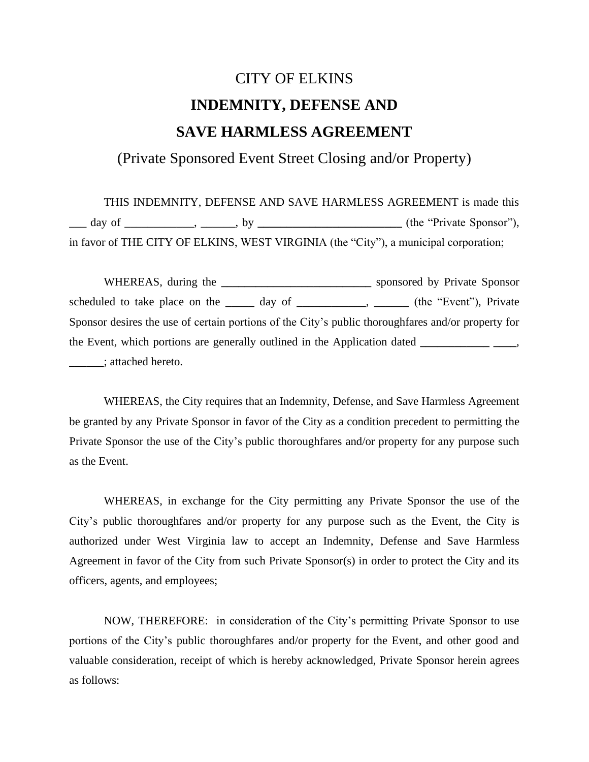# CITY OF ELKINS **INDEMNITY, DEFENSE AND SAVE HARMLESS AGREEMENT**

(Private Sponsored Event Street Closing and/or Property)

THIS INDEMNITY, DEFENSE AND SAVE HARMLESS AGREEMENT is made this \_\_\_ day of \_\_\_\_\_\_\_\_\_\_\_\_, \_\_\_\_\_\_, by **\_\_\_\_\_\_\_\_\_\_\_\_\_\_\_\_\_\_\_\_\_\_\_\_\_** (the "Private Sponsor"), in favor of THE CITY OF ELKINS, WEST VIRGINIA (the "City"), a municipal corporation;

WHEREAS, during the **\_\_\_\_\_\_\_\_\_\_\_\_\_\_\_\_\_\_\_\_\_\_\_\_\_\_** sponsored by Private Sponsor scheduled to take place on the day of **\_\_\_\_\_**, \_\_\_\_\_\_\_\_, (the "Event"), Private Sponsor desires the use of certain portions of the City's public thoroughfares and/or property for the Event, which portions are generally outlined in the Application dated **\_\_\_\_\_\_\_\_\_\_\_\_ \_\_\_\_**, **\_\_\_\_\_\_**; attached hereto.

WHEREAS, the City requires that an Indemnity, Defense, and Save Harmless Agreement be granted by any Private Sponsor in favor of the City as a condition precedent to permitting the Private Sponsor the use of the City's public thoroughfares and/or property for any purpose such as the Event.

WHEREAS, in exchange for the City permitting any Private Sponsor the use of the City's public thoroughfares and/or property for any purpose such as the Event, the City is authorized under West Virginia law to accept an Indemnity, Defense and Save Harmless Agreement in favor of the City from such Private Sponsor(s) in order to protect the City and its officers, agents, and employees;

NOW, THEREFORE: in consideration of the City's permitting Private Sponsor to use portions of the City's public thoroughfares and/or property for the Event, and other good and valuable consideration, receipt of which is hereby acknowledged, Private Sponsor herein agrees as follows: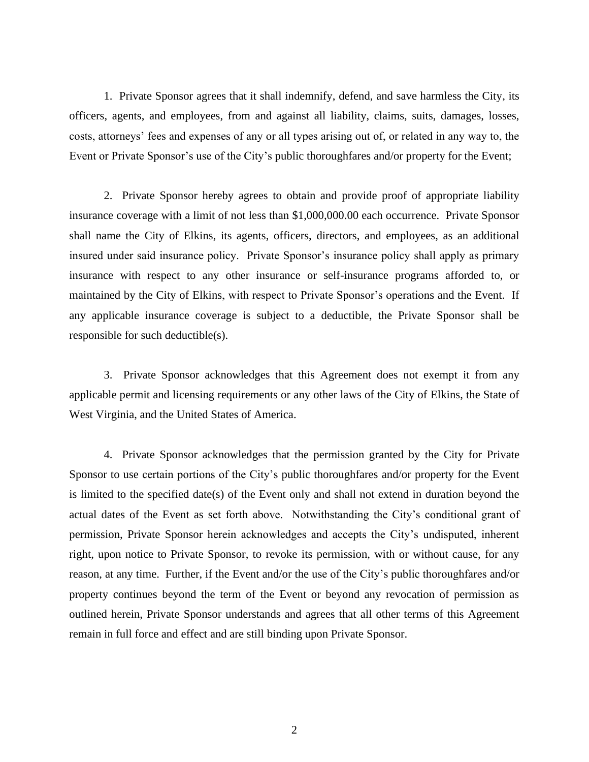1. Private Sponsor agrees that it shall indemnify, defend, and save harmless the City, its officers, agents, and employees, from and against all liability, claims, suits, damages, losses, costs, attorneys' fees and expenses of any or all types arising out of, or related in any way to, the Event or Private Sponsor's use of the City's public thoroughfares and/or property for the Event;

2. Private Sponsor hereby agrees to obtain and provide proof of appropriate liability insurance coverage with a limit of not less than \$1,000,000.00 each occurrence. Private Sponsor shall name the City of Elkins, its agents, officers, directors, and employees, as an additional insured under said insurance policy. Private Sponsor's insurance policy shall apply as primary insurance with respect to any other insurance or self-insurance programs afforded to, or maintained by the City of Elkins, with respect to Private Sponsor's operations and the Event. If any applicable insurance coverage is subject to a deductible, the Private Sponsor shall be responsible for such deductible(s).

3. Private Sponsor acknowledges that this Agreement does not exempt it from any applicable permit and licensing requirements or any other laws of the City of Elkins, the State of West Virginia, and the United States of America.

4. Private Sponsor acknowledges that the permission granted by the City for Private Sponsor to use certain portions of the City's public thoroughfares and/or property for the Event is limited to the specified date(s) of the Event only and shall not extend in duration beyond the actual dates of the Event as set forth above. Notwithstanding the City's conditional grant of permission, Private Sponsor herein acknowledges and accepts the City's undisputed, inherent right, upon notice to Private Sponsor, to revoke its permission, with or without cause, for any reason, at any time. Further, if the Event and/or the use of the City's public thoroughfares and/or property continues beyond the term of the Event or beyond any revocation of permission as outlined herein, Private Sponsor understands and agrees that all other terms of this Agreement remain in full force and effect and are still binding upon Private Sponsor.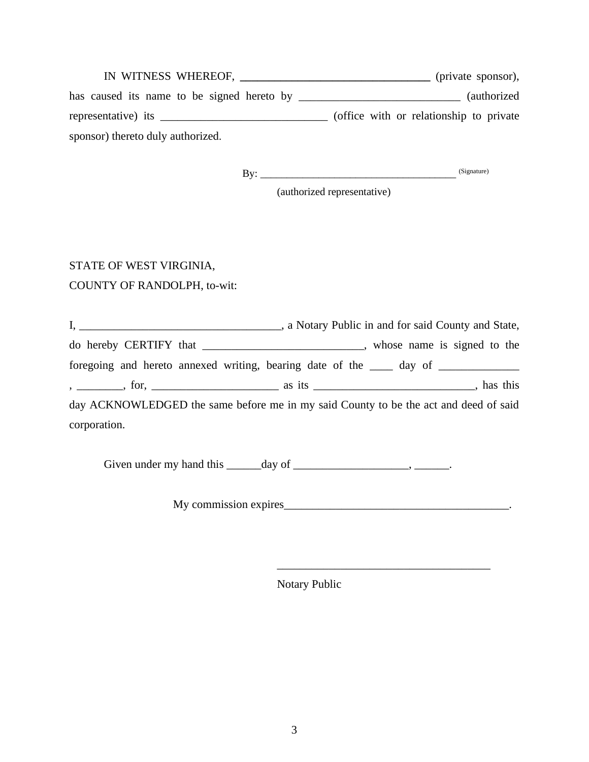|                                   | (private sponsor),                       |
|-----------------------------------|------------------------------------------|
|                                   | <i>(authorized)</i>                      |
| representative) its               | (office with or relationship to private) |
| sponsor) thereto duly authorized. |                                          |

By: \_\_\_\_\_\_\_\_\_\_\_\_\_\_\_\_\_\_\_\_\_\_\_\_\_\_\_\_\_\_\_\_\_\_\_\_\_ (Signature)

(authorized representative)

# STATE OF WEST VIRGINIA,

#### COUNTY OF RANDOLPH, to-wit:

I, \_\_\_\_\_\_\_\_\_\_\_\_\_\_\_\_\_\_\_\_\_\_\_\_\_\_\_\_\_\_\_\_\_\_\_, a Notary Public in and for said County and State, do hereby CERTIFY that \_\_\_\_\_\_\_\_\_\_\_\_\_\_\_\_\_\_\_\_\_\_\_\_\_\_\_\_, whose name is signed to the foregoing and hereto annexed writing, bearing date of the \_\_\_\_ day of \_\_\_\_\_\_\_\_\_\_ , \_\_\_\_\_\_\_\_, for, \_\_\_\_\_\_\_\_\_\_\_\_\_\_\_\_\_\_\_\_\_\_ as its \_\_\_\_\_\_\_\_\_\_\_\_\_\_\_\_\_\_\_\_\_\_\_\_\_\_\_\_, has this day ACKNOWLEDGED the same before me in my said County to be the act and deed of said corporation.

Given under my hand this  $\_\_\_\_\_\_\$  day of  $\_\_\_\_\_\_\_\_\_\_\_\_\_\_$ 

My commission expires\_\_\_\_\_\_\_\_\_\_\_\_\_\_\_\_\_\_\_\_\_\_\_\_\_\_\_\_\_\_\_\_\_\_\_\_\_\_\_.

\_\_\_\_\_\_\_\_\_\_\_\_\_\_\_\_\_\_\_\_\_\_\_\_\_\_\_\_\_\_\_\_\_\_\_\_\_

Notary Public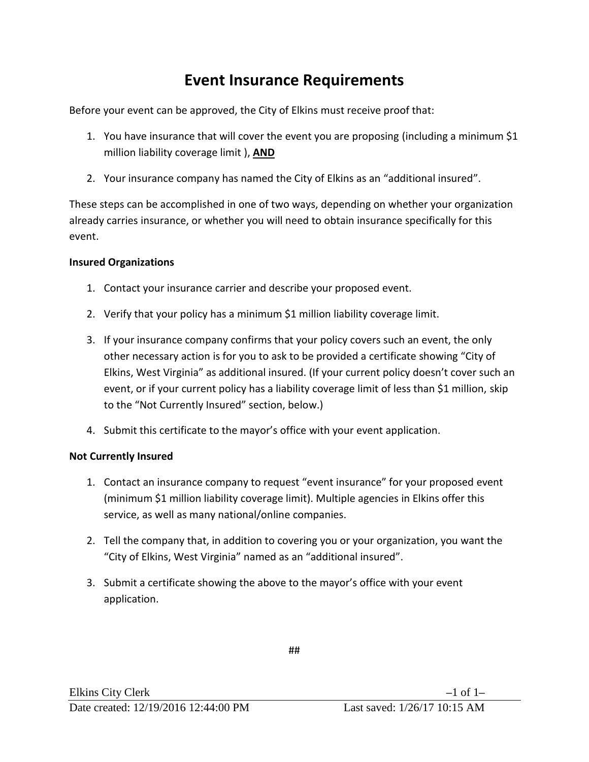## **Event Insurance Requirements**

Before your event can be approved, the City of Elkins must receive proof that:

- 1. You have insurance that will cover the event you are proposing (including a minimum \$1 million liability coverage limit ), **AND**
- 2. Your insurance company has named the City of Elkins as an "additional insured".

These steps can be accomplished in one of two ways, depending on whether your organization already carries insurance, or whether you will need to obtain insurance specifically for this event.

### **Insured Organizations**

- 1. Contact your insurance carrier and describe your proposed event.
- 2. Verify that your policy has a minimum \$1 million liability coverage limit.
- 3. If your insurance company confirms that your policy covers such an event, the only other necessary action is for you to ask to be provided a certificate showing "City of Elkins, West Virginia" as additional insured. (If your current policy doesn't cover such an event, or if your current policy has a liability coverage limit of less than \$1 million, skip to the "Not Currently Insured" section, below.)
- 4. Submit this certificate to the mayor's office with your event application.

#### **Not Currently Insured**

- 1. Contact an insurance company to request "event insurance" for your proposed event (minimum \$1 million liability coverage limit). Multiple agencies in Elkins offer this service, as well as many national/online companies.
- 2. Tell the company that, in addition to covering you or your organization, you want the "City of Elkins, West Virginia" named as an "additional insured".
- 3. Submit a certificate showing the above to the mayor's office with your event application.